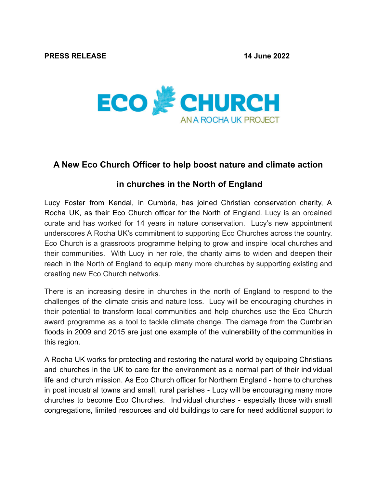

## **A New Eco Church Officer to help boost nature and climate action**

## **in churches in the North of England**

Lucy Foster from Kendal, in Cumbria, has joined Christian conservation charity, A Rocha UK, as their Eco Church officer for the North of England. Lucy is an ordained curate and has worked for 14 years in nature conservation. Lucy's new appointment underscores A Rocha UK's commitment to supporting Eco Churches across the country. Eco Church is a grassroots programme helping to grow and inspire local churches and their communities. With Lucy in her role, the charity aims to widen and deepen their reach in the North of England to equip many more churches by supporting existing and creating new Eco Church networks.

There is an increasing desire in churches in the north of England to respond to the challenges of the climate crisis and nature loss. Lucy will be encouraging churches in their potential to transform local communities and help churches use the Eco Church award programme as a tool to tackle climate change. The damage from the Cumbrian floods in 2009 and 2015 are just one example of the vulnerability of the communities in this region.

A Rocha UK works for protecting and restoring the natural world by equipping Christians and churches in the UK to care for the environment as a normal part of their individual life and church mission. As Eco Church officer for Northern England - home to churches in post industrial towns and small, rural parishes - Lucy will be encouraging many more churches to become Eco Churches. Individual churches - especially those with small congregations, limited resources and old buildings to care for need additional support to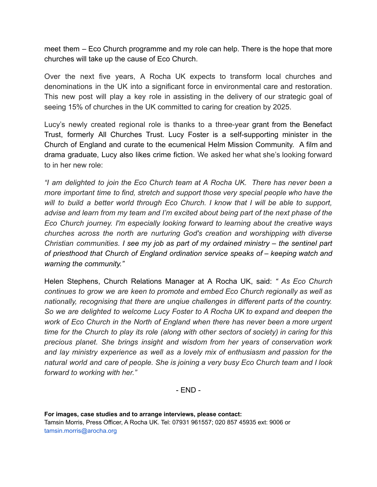meet them – Eco Church programme and my role can help. There is the hope that more churches will take up the cause of Eco Church.

Over the next five years, A Rocha UK expects to transform local churches and denominations in the UK into a significant force in environmental care and restoration. This new post will play a key role in assisting in the delivery of our strategic goal of seeing 15% of churches in the UK committed to caring for creation by 2025.

Lucy's newly created regional role is thanks to a three-year grant from the Benefact Trust, formerly All Churches Trust. Lucy Foster is a self-supporting minister in the Church of England and curate to the ecumenical Helm Mission Community. A film and drama graduate, Lucy also likes crime fiction. We asked her what she's looking forward to in her new role:

*"I am delighted to join the Eco Church team at A Rocha UK. There has never been a more important time to find, stretch and support those very special people who have the will to build a better world through Eco Church. I know that I will be able to support, advise and learn from my team and I'm excited about being part of the next phase of the Eco Church journey. I'm especially looking forward to learning about the creative ways churches across the north are nurturing God's creation and worshipping with diverse Christian communities. I see my job as part of my ordained ministry – the sentinel part of priesthood that Church of England ordination service speaks of – keeping watch and warning the community."*

Helen Stephens, Church Relations Manager at A Rocha UK, said: *" As Eco Church continues to grow we are keen to promote and embed Eco Church regionally as well as nationally, recognising that there are unqiue challenges in different parts of the country. So we are delighted to welcome Lucy Foster to A Rocha UK to expand and deepen the work of Eco Church in the North of England when there has never been a more urgent time for the Church to play its role (along with other sectors of society) in caring for this precious planet. She brings insight and wisdom from her years of conservation work and lay ministry experience as well as a lovely mix of enthusiasm and passion for the natural world and care of people. She is joining a very busy Eco Church team and I look forward to working with her."*

- END -

**For images, case studies and to arrange interviews, please contact:** Tamsin Morris, Press Officer, A Rocha UK. Tel: 07931 961557; 020 857 45935 ext: 9006 or tamsin.morris@arocha.org